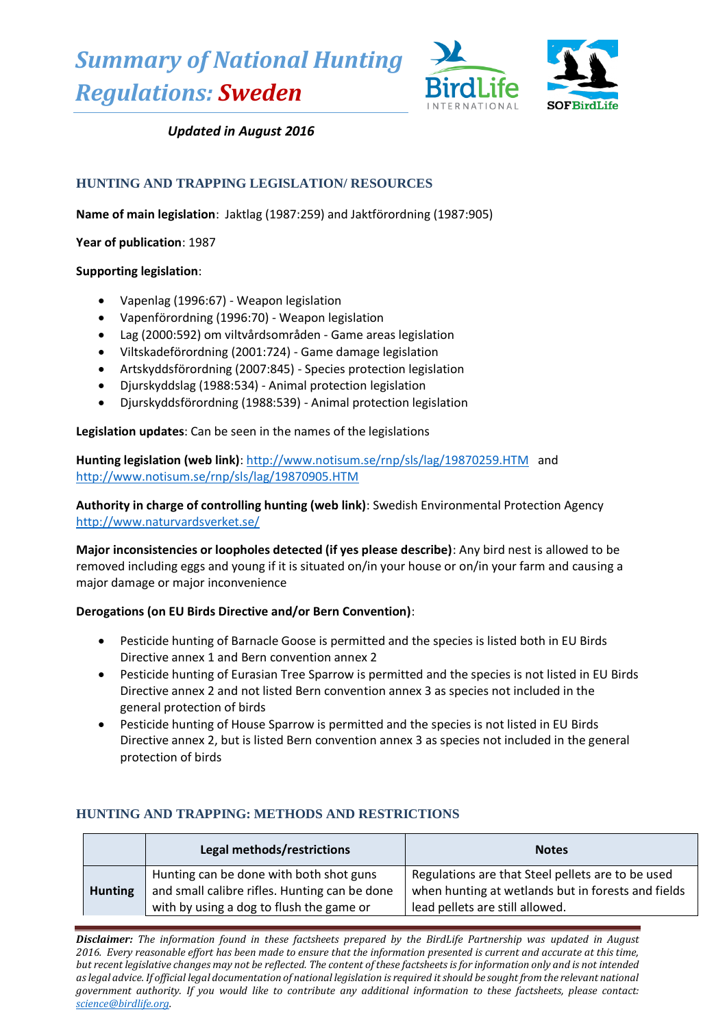*Summary of National Hunting Regulations: Sweden*



# *Updated in August 2016*

## **HUNTING AND TRAPPING LEGISLATION/ RESOURCES**

**Name of main legislation**: Jaktlag (1987:259) and Jaktförordning (1987:905)

**Year of publication**: 1987

### **Supporting legislation**:

- Vapenlag (1996:67) Weapon legislation
- Vapenförordning (1996:70) Weapon legislation
- Lag (2000:592) om viltvårdsområden Game areas legislation
- Viltskadeförordning (2001:724) Game damage legislation
- Artskyddsförordning (2007:845) Species protection legislation
- Djurskyddslag (1988:534) Animal protection legislation
- Djurskyddsförordning (1988:539) Animal protection legislation

**Legislation updates**: Can be seen in the names of the legislations

**Hunting legislation (web link)**[: http://www.notisum.se/rnp/sls/lag/19870259.HTM](http://www.notisum.se/rnp/sls/lag/19870259.HTM) and <http://www.notisum.se/rnp/sls/lag/19870905.HTM>

**Authority in charge of controlling hunting (web link)**: Swedish Environmental Protection Agency <http://www.naturvardsverket.se/>

**Major inconsistencies or loopholes detected (if yes please describe)**: Any bird nest is allowed to be removed including eggs and young if it is situated on/in your house or on/in your farm and causing a major damage or major inconvenience

### **Derogations (on EU Birds Directive and/or Bern Convention)**:

- Pesticide hunting of Barnacle Goose is permitted and the species is listed both in EU Birds Directive annex 1 and Bern convention annex 2
- Pesticide hunting of Eurasian Tree Sparrow is permitted and the species is not listed in EU Birds Directive annex 2 and not listed Bern convention annex 3 as species not included in the general protection of birds
- Pesticide hunting of House Sparrow is permitted and the species is not listed in EU Birds Directive annex 2, but is listed Bern convention annex 3 as species not included in the general protection of birds

|                | Legal methods/restrictions                                                                                                           | <b>Notes</b>                                                                                                                               |
|----------------|--------------------------------------------------------------------------------------------------------------------------------------|--------------------------------------------------------------------------------------------------------------------------------------------|
| <b>Hunting</b> | Hunting can be done with both shot guns<br>and small calibre rifles. Hunting can be done<br>with by using a dog to flush the game or | Regulations are that Steel pellets are to be used<br>when hunting at wetlands but in forests and fields<br>lead pellets are still allowed. |

### **HUNTING AND TRAPPING: METHODS AND RESTRICTIONS**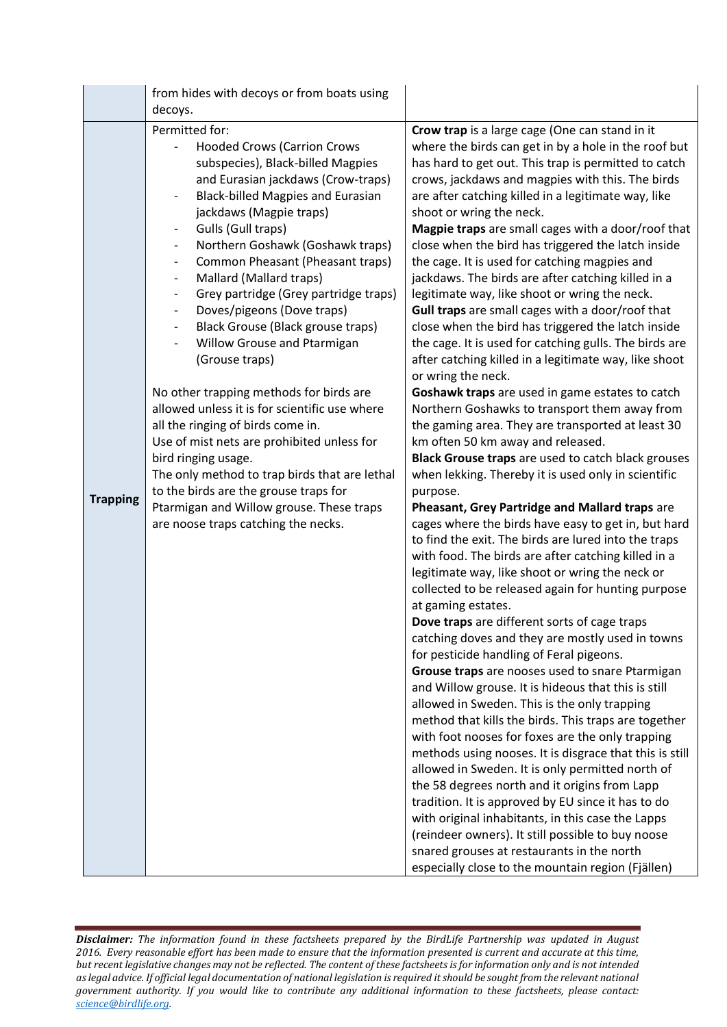|                 | from hides with decoys or from boats using                                                                                                                                                                                                                                                                                                                                                                                                                                                                                                                                                                                                                                                                                                                                                                                                                                                                                                                                                                                                                                                                                                  |                                                                                                                                                                                                                                                                                                                                                                                                                                                                                                                                                                                                                                                                                                                                                                                                                                                                                                                                                                                                                                                                                                                                                                                                                                                                                                                                                                                                                                                                                                                                                                                                                                                                                                                                                                                                                                                                                                                                                                                                                                                                                                                                                                                                                                                                                                                                                                     |
|-----------------|---------------------------------------------------------------------------------------------------------------------------------------------------------------------------------------------------------------------------------------------------------------------------------------------------------------------------------------------------------------------------------------------------------------------------------------------------------------------------------------------------------------------------------------------------------------------------------------------------------------------------------------------------------------------------------------------------------------------------------------------------------------------------------------------------------------------------------------------------------------------------------------------------------------------------------------------------------------------------------------------------------------------------------------------------------------------------------------------------------------------------------------------|---------------------------------------------------------------------------------------------------------------------------------------------------------------------------------------------------------------------------------------------------------------------------------------------------------------------------------------------------------------------------------------------------------------------------------------------------------------------------------------------------------------------------------------------------------------------------------------------------------------------------------------------------------------------------------------------------------------------------------------------------------------------------------------------------------------------------------------------------------------------------------------------------------------------------------------------------------------------------------------------------------------------------------------------------------------------------------------------------------------------------------------------------------------------------------------------------------------------------------------------------------------------------------------------------------------------------------------------------------------------------------------------------------------------------------------------------------------------------------------------------------------------------------------------------------------------------------------------------------------------------------------------------------------------------------------------------------------------------------------------------------------------------------------------------------------------------------------------------------------------------------------------------------------------------------------------------------------------------------------------------------------------------------------------------------------------------------------------------------------------------------------------------------------------------------------------------------------------------------------------------------------------------------------------------------------------------------------------------------------------|
|                 | decoys.                                                                                                                                                                                                                                                                                                                                                                                                                                                                                                                                                                                                                                                                                                                                                                                                                                                                                                                                                                                                                                                                                                                                     |                                                                                                                                                                                                                                                                                                                                                                                                                                                                                                                                                                                                                                                                                                                                                                                                                                                                                                                                                                                                                                                                                                                                                                                                                                                                                                                                                                                                                                                                                                                                                                                                                                                                                                                                                                                                                                                                                                                                                                                                                                                                                                                                                                                                                                                                                                                                                                     |
| <b>Trapping</b> | Permitted for:<br><b>Hooded Crows (Carrion Crows</b><br>subspecies), Black-billed Magpies<br>and Eurasian jackdaws (Crow-traps)<br><b>Black-billed Magpies and Eurasian</b><br>$\overline{\phantom{a}}$<br>jackdaws (Magpie traps)<br>Gulls (Gull traps)<br>$\overline{\phantom{a}}$<br>Northern Goshawk (Goshawk traps)<br>$\overline{\phantom{a}}$<br>Common Pheasant (Pheasant traps)<br>$\overline{\phantom{a}}$<br>Mallard (Mallard traps)<br>$\overline{\phantom{a}}$<br>Grey partridge (Grey partridge traps)<br>$\overline{\phantom{a}}$<br>Doves/pigeons (Dove traps)<br>$\overline{\phantom{a}}$<br>Black Grouse (Black grouse traps)<br>$\overline{\phantom{a}}$<br>Willow Grouse and Ptarmigan<br>$\overline{\phantom{a}}$<br>(Grouse traps)<br>No other trapping methods for birds are<br>allowed unless it is for scientific use where<br>all the ringing of birds come in.<br>Use of mist nets are prohibited unless for<br>bird ringing usage.<br>The only method to trap birds that are lethal<br>to the birds are the grouse traps for<br>Ptarmigan and Willow grouse. These traps<br>are noose traps catching the necks. | Crow trap is a large cage (One can stand in it<br>where the birds can get in by a hole in the roof but<br>has hard to get out. This trap is permitted to catch<br>crows, jackdaws and magpies with this. The birds<br>are after catching killed in a legitimate way, like<br>shoot or wring the neck.<br>Magpie traps are small cages with a door/roof that<br>close when the bird has triggered the latch inside<br>the cage. It is used for catching magpies and<br>jackdaws. The birds are after catching killed in a<br>legitimate way, like shoot or wring the neck.<br>Gull traps are small cages with a door/roof that<br>close when the bird has triggered the latch inside<br>the cage. It is used for catching gulls. The birds are<br>after catching killed in a legitimate way, like shoot<br>or wring the neck.<br>Goshawk traps are used in game estates to catch<br>Northern Goshawks to transport them away from<br>the gaming area. They are transported at least 30<br>km often 50 km away and released.<br>Black Grouse traps are used to catch black grouses<br>when lekking. Thereby it is used only in scientific<br>purpose.<br>Pheasant, Grey Partridge and Mallard traps are<br>cages where the birds have easy to get in, but hard<br>to find the exit. The birds are lured into the traps<br>with food. The birds are after catching killed in a<br>legitimate way, like shoot or wring the neck or<br>collected to be released again for hunting purpose<br>at gaming estates.<br>Dove traps are different sorts of cage traps<br>catching doves and they are mostly used in towns<br>for pesticide handling of Feral pigeons.<br>Grouse traps are nooses used to snare Ptarmigan<br>and Willow grouse. It is hideous that this is still<br>allowed in Sweden. This is the only trapping<br>method that kills the birds. This traps are together<br>with foot nooses for foxes are the only trapping<br>methods using nooses. It is disgrace that this is still<br>allowed in Sweden. It is only permitted north of<br>the 58 degrees north and it origins from Lapp<br>tradition. It is approved by EU since it has to do<br>with original inhabitants, in this case the Lapps<br>(reindeer owners). It still possible to buy noose<br>snared grouses at restaurants in the north<br>especially close to the mountain region (Fjällen) |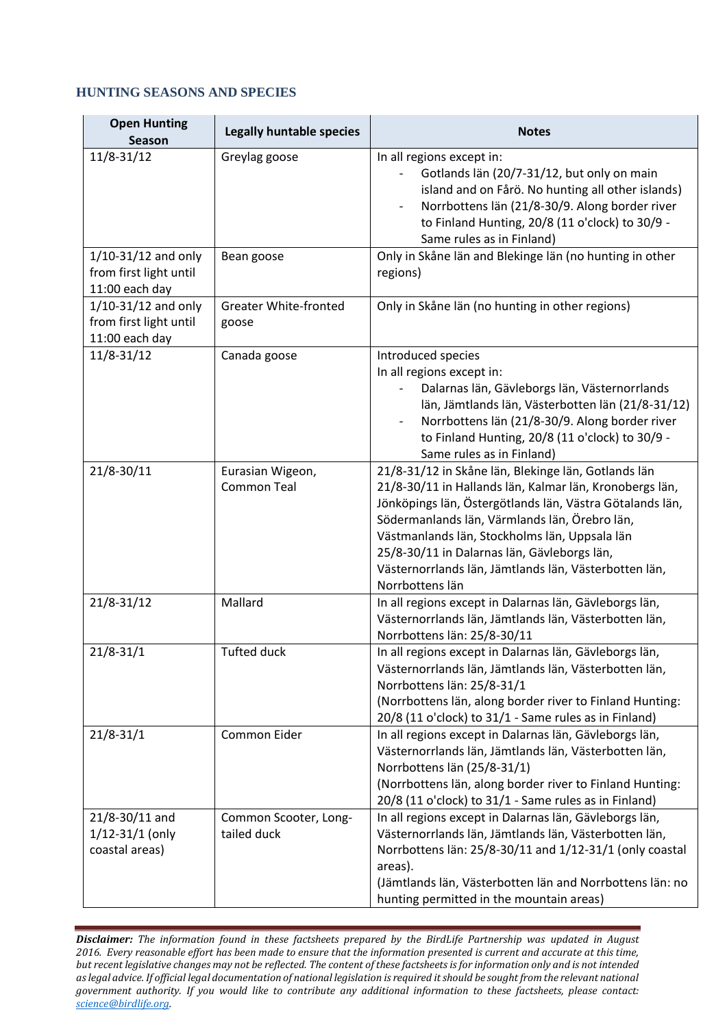#### **HUNTING SEASONS AND SPECIES**

| <b>Open Hunting</b><br><b>Season</b>                                | <b>Legally huntable species</b>        | <b>Notes</b>                                                                                                                                                                                                                                                                                                                                                                                            |
|---------------------------------------------------------------------|----------------------------------------|---------------------------------------------------------------------------------------------------------------------------------------------------------------------------------------------------------------------------------------------------------------------------------------------------------------------------------------------------------------------------------------------------------|
| 11/8-31/12                                                          | Greylag goose                          | In all regions except in:<br>Gotlands län (20/7-31/12, but only on main<br>island and on Fårö. No hunting all other islands)<br>Norrbottens län (21/8-30/9. Along border river<br>to Finland Hunting, 20/8 (11 o'clock) to 30/9 -<br>Same rules as in Finland)                                                                                                                                          |
| $1/10-31/12$ and only<br>from first light until<br>11:00 each day   | Bean goose                             | Only in Skåne län and Blekinge län (no hunting in other<br>regions)                                                                                                                                                                                                                                                                                                                                     |
| $1/10 - 31/12$ and only<br>from first light until<br>11:00 each day | <b>Greater White-fronted</b><br>goose  | Only in Skåne län (no hunting in other regions)                                                                                                                                                                                                                                                                                                                                                         |
| $11/8 - 31/12$                                                      | Canada goose                           | Introduced species<br>In all regions except in:<br>Dalarnas län, Gävleborgs län, Västernorrlands<br>län, Jämtlands län, Västerbotten län (21/8-31/12)<br>Norrbottens län (21/8-30/9. Along border river<br>to Finland Hunting, 20/8 (11 o'clock) to 30/9 -<br>Same rules as in Finland)                                                                                                                 |
| 21/8-30/11                                                          | Eurasian Wigeon,<br><b>Common Teal</b> | 21/8-31/12 in Skåne län, Blekinge län, Gotlands län<br>21/8-30/11 in Hallands län, Kalmar län, Kronobergs län,<br>Jönköpings län, Östergötlands län, Västra Götalands län,<br>Södermanlands län, Värmlands län, Örebro län,<br>Västmanlands län, Stockholms län, Uppsala län<br>25/8-30/11 in Dalarnas län, Gävleborgs län,<br>Västernorrlands län, Jämtlands län, Västerbotten län,<br>Norrbottens län |
| 21/8-31/12                                                          | Mallard                                | In all regions except in Dalarnas län, Gävleborgs län,<br>Västernorrlands län, Jämtlands län, Västerbotten län,<br>Norrbottens län: 25/8-30/11                                                                                                                                                                                                                                                          |
| $21/8 - 31/1$                                                       | <b>Tufted duck</b>                     | In all regions except in Dalarnas län, Gävleborgs län,<br>Västernorrlands län, Jämtlands län, Västerbotten län,<br>Norrbottens län: 25/8-31/1<br>(Norrbottens län, along border river to Finland Hunting:<br>20/8 (11 o'clock) to 31/1 - Same rules as in Finland)                                                                                                                                      |
| $21/8 - 31/1$                                                       | Common Eider                           | In all regions except in Dalarnas län, Gävleborgs län,<br>Västernorrlands län, Jämtlands län, Västerbotten län,<br>Norrbottens län (25/8-31/1)<br>(Norrbottens län, along border river to Finland Hunting:<br>20/8 (11 o'clock) to 31/1 - Same rules as in Finland)                                                                                                                                     |
| 21/8-30/11 and<br>$1/12 - 31/1$ (only<br>coastal areas)             | Common Scooter, Long-<br>tailed duck   | In all regions except in Dalarnas län, Gävleborgs län,<br>Västernorrlands län, Jämtlands län, Västerbotten län,<br>Norrbottens län: 25/8-30/11 and 1/12-31/1 (only coastal<br>areas).<br>(Jämtlands län, Västerbotten län and Norrbottens län: no<br>hunting permitted in the mountain areas)                                                                                                           |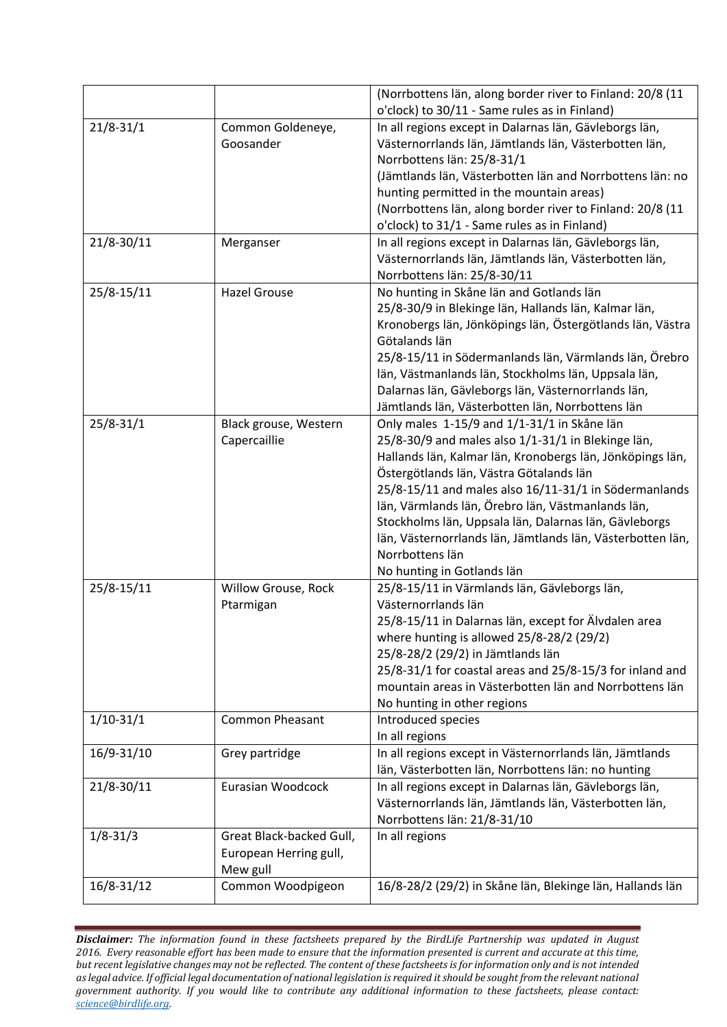|               |                                | (Norrbottens län, along border river to Finland: 20/8 (11                                                       |
|---------------|--------------------------------|-----------------------------------------------------------------------------------------------------------------|
|               |                                | o'clock) to 30/11 - Same rules as in Finland)                                                                   |
| $21/8 - 31/1$ | Common Goldeneye,<br>Goosander | In all regions except in Dalarnas län, Gävleborgs län,<br>Västernorrlands län, Jämtlands län, Västerbotten län, |
|               |                                | Norrbottens län: 25/8-31/1                                                                                      |
|               |                                | (Jämtlands län, Västerbotten län and Norrbottens län: no                                                        |
|               |                                | hunting permitted in the mountain areas)                                                                        |
|               |                                | (Norrbottens län, along border river to Finland: 20/8 (11                                                       |
|               |                                | o'clock) to 31/1 - Same rules as in Finland)                                                                    |
| 21/8-30/11    | Merganser                      | In all regions except in Dalarnas län, Gävleborgs län,                                                          |
|               |                                | Västernorrlands län, Jämtlands län, Västerbotten län,                                                           |
|               |                                | Norrbottens län: 25/8-30/11                                                                                     |
| 25/8-15/11    | <b>Hazel Grouse</b>            | No hunting in Skåne län and Gotlands län                                                                        |
|               |                                | 25/8-30/9 in Blekinge län, Hallands län, Kalmar län,                                                            |
|               |                                | Kronobergs län, Jönköpings län, Östergötlands län, Västra                                                       |
|               |                                | Götalands län                                                                                                   |
|               |                                | 25/8-15/11 in Södermanlands län, Värmlands län, Örebro                                                          |
|               |                                | län, Västmanlands län, Stockholms län, Uppsala län,                                                             |
|               |                                | Dalarnas län, Gävleborgs län, Västernorrlands län,                                                              |
|               |                                | Jämtlands län, Västerbotten län, Norrbottens län                                                                |
| $25/8 - 31/1$ | Black grouse, Western          | Only males 1-15/9 and 1/1-31/1 in Skåne län                                                                     |
|               | Capercaillie                   | 25/8-30/9 and males also 1/1-31/1 in Blekinge län,                                                              |
|               |                                | Hallands län, Kalmar län, Kronobergs län, Jönköpings län,                                                       |
|               |                                | Östergötlands län, Västra Götalands län                                                                         |
|               |                                | 25/8-15/11 and males also 16/11-31/1 in Södermanlands                                                           |
|               |                                | län, Värmlands län, Örebro län, Västmanlands län,                                                               |
|               |                                | Stockholms län, Uppsala län, Dalarnas län, Gävleborgs                                                           |
|               |                                | län, Västernorrlands län, Jämtlands län, Västerbotten län,                                                      |
|               |                                | Norrbottens län                                                                                                 |
|               |                                | No hunting in Gotlands län                                                                                      |
| 25/8-15/11    | Willow Grouse, Rock            | 25/8-15/11 in Värmlands län, Gävleborgs län,                                                                    |
|               | Ptarmigan                      | Västernorrlands län                                                                                             |
|               |                                | 25/8-15/11 in Dalarnas län, except for Älvdalen area                                                            |
|               |                                | where hunting is allowed 25/8-28/2 (29/2)                                                                       |
|               |                                | 25/8-28/2 (29/2) in Jämtlands län                                                                               |
|               |                                | 25/8-31/1 for coastal areas and 25/8-15/3 for inland and                                                        |
|               |                                | mountain areas in Västerbotten län and Norrbottens län                                                          |
|               |                                | No hunting in other regions                                                                                     |
| $1/10-31/1$   | <b>Common Pheasant</b>         | Introduced species                                                                                              |
|               |                                | In all regions                                                                                                  |
| 16/9-31/10    | Grey partridge                 | In all regions except in Västernorrlands län, Jämtlands                                                         |
|               |                                | län, Västerbotten län, Norrbottens län: no hunting                                                              |
| 21/8-30/11    | Eurasian Woodcock              | In all regions except in Dalarnas län, Gävleborgs län,                                                          |
|               |                                | Västernorrlands län, Jämtlands län, Västerbotten län,                                                           |
|               |                                | Norrbottens län: 21/8-31/10                                                                                     |
| $1/8 - 31/3$  | Great Black-backed Gull,       | In all regions                                                                                                  |
|               | European Herring gull,         |                                                                                                                 |
|               | Mew gull                       |                                                                                                                 |
| 16/8-31/12    | Common Woodpigeon              | 16/8-28/2 (29/2) in Skåne län, Blekinge län, Hallands län                                                       |
|               |                                |                                                                                                                 |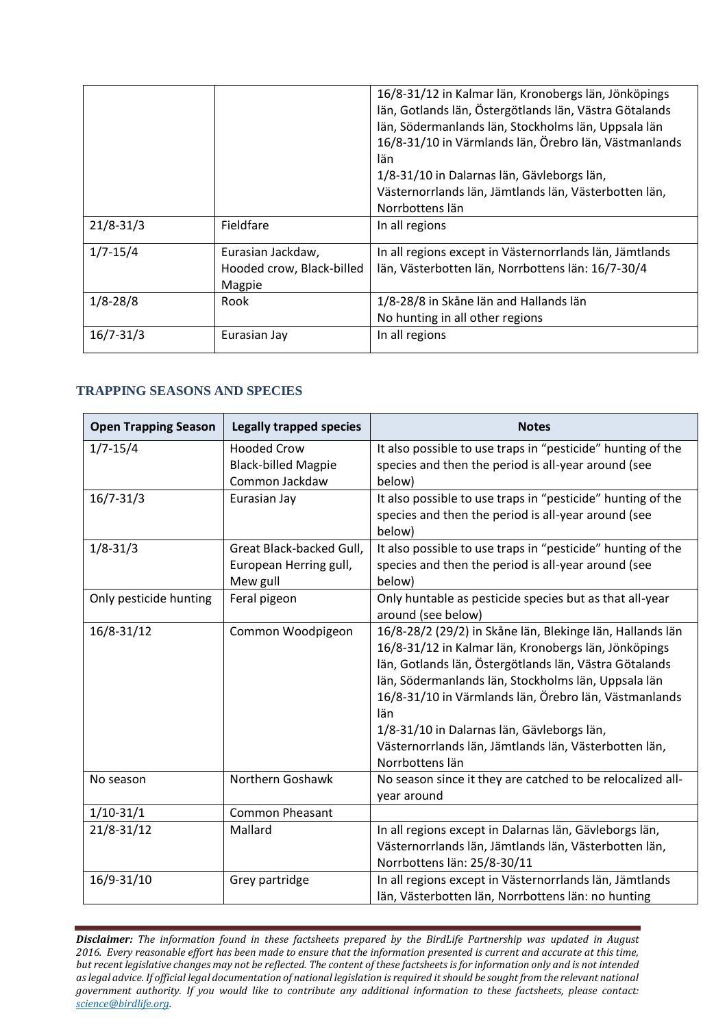|               |                                                          | 16/8-31/12 in Kalmar län, Kronobergs län, Jönköpings<br>län, Gotlands län, Östergötlands län, Västra Götalands<br>län, Södermanlands län, Stockholms län, Uppsala län<br>16/8-31/10 in Värmlands län, Örebro län, Västmanlands<br>län<br>1/8-31/10 in Dalarnas län, Gävleborgs län,<br>Västernorrlands län, Jämtlands län, Västerbotten län,<br>Norrbottens län |
|---------------|----------------------------------------------------------|-----------------------------------------------------------------------------------------------------------------------------------------------------------------------------------------------------------------------------------------------------------------------------------------------------------------------------------------------------------------|
| $21/8 - 31/3$ | Fieldfare                                                | In all regions                                                                                                                                                                                                                                                                                                                                                  |
| $1/7 - 15/4$  | Eurasian Jackdaw,<br>Hooded crow, Black-billed<br>Magpie | In all regions except in Västernorrlands län, Jämtlands<br>län, Västerbotten län, Norrbottens län: 16/7-30/4                                                                                                                                                                                                                                                    |
| $1/8 - 28/8$  | Rook                                                     | 1/8-28/8 in Skåne län and Hallands län<br>No hunting in all other regions                                                                                                                                                                                                                                                                                       |
| $16/7 - 31/3$ | Eurasian Jay                                             | In all regions                                                                                                                                                                                                                                                                                                                                                  |

### **TRAPPING SEASONS AND SPECIES**

| <b>Open Trapping Season</b> | <b>Legally trapped species</b>                                     | <b>Notes</b>                                                                                                                                                                                                                                                                                                                                                                                                                 |
|-----------------------------|--------------------------------------------------------------------|------------------------------------------------------------------------------------------------------------------------------------------------------------------------------------------------------------------------------------------------------------------------------------------------------------------------------------------------------------------------------------------------------------------------------|
| $1/7 - 15/4$                | <b>Hooded Crow</b><br><b>Black-billed Magpie</b><br>Common Jackdaw | It also possible to use traps in "pesticide" hunting of the<br>species and then the period is all-year around (see<br>below)                                                                                                                                                                                                                                                                                                 |
| $16/7 - 31/3$               | Eurasian Jay                                                       | It also possible to use traps in "pesticide" hunting of the<br>species and then the period is all-year around (see<br>below)                                                                                                                                                                                                                                                                                                 |
| $1/8 - 31/3$                | Great Black-backed Gull,<br>European Herring gull,<br>Mew gull     | It also possible to use traps in "pesticide" hunting of the<br>species and then the period is all-year around (see<br>below)                                                                                                                                                                                                                                                                                                 |
| Only pesticide hunting      | Feral pigeon                                                       | Only huntable as pesticide species but as that all-year<br>around (see below)                                                                                                                                                                                                                                                                                                                                                |
| 16/8-31/12                  | Common Woodpigeon                                                  | 16/8-28/2 (29/2) in Skåne län, Blekinge län, Hallands län<br>16/8-31/12 in Kalmar län, Kronobergs län, Jönköpings<br>län, Gotlands län, Östergötlands län, Västra Götalands<br>län, Södermanlands län, Stockholms län, Uppsala län<br>16/8-31/10 in Värmlands län, Örebro län, Västmanlands<br>län<br>1/8-31/10 in Dalarnas län, Gävleborgs län,<br>Västernorrlands län, Jämtlands län, Västerbotten län,<br>Norrbottens län |
| No season                   | Northern Goshawk                                                   | No season since it they are catched to be relocalized all-<br>year around                                                                                                                                                                                                                                                                                                                                                    |
| $1/10-31/1$                 | <b>Common Pheasant</b>                                             |                                                                                                                                                                                                                                                                                                                                                                                                                              |
| $21/8 - 31/12$              | Mallard                                                            | In all regions except in Dalarnas län, Gävleborgs län,<br>Västernorrlands län, Jämtlands län, Västerbotten län,<br>Norrbottens län: 25/8-30/11                                                                                                                                                                                                                                                                               |
| 16/9-31/10                  | Grey partridge                                                     | In all regions except in Västernorrlands län, Jämtlands<br>län, Västerbotten län, Norrbottens län: no hunting                                                                                                                                                                                                                                                                                                                |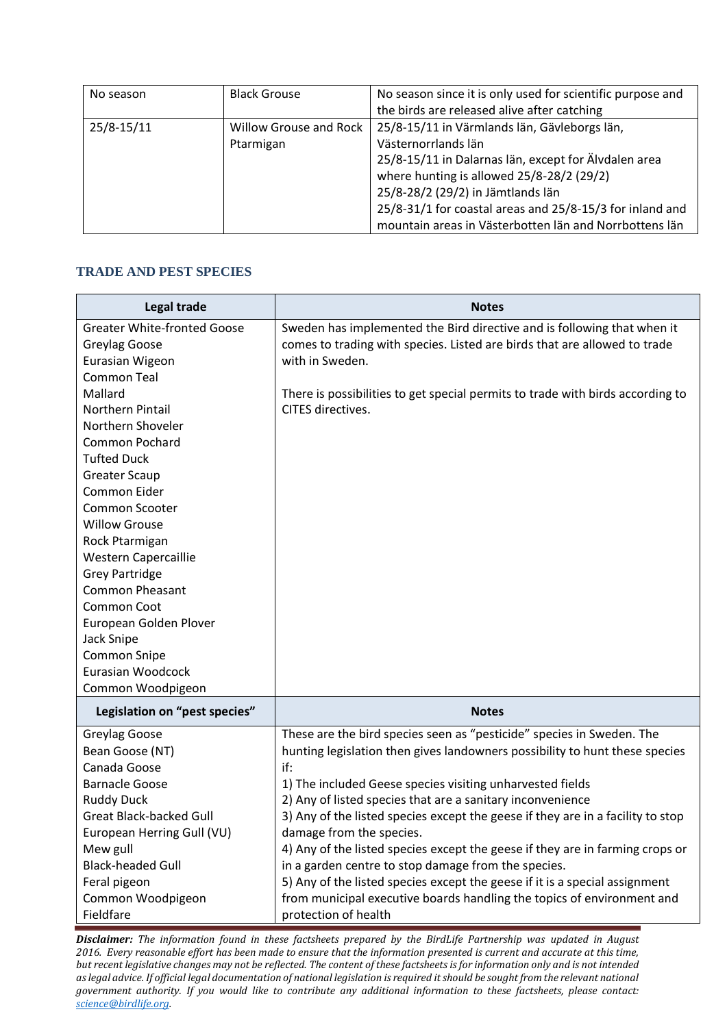| No season  | <b>Black Grouse</b>                 | No season since it is only used for scientific purpose and<br>the birds are released alive after catching                                                                                                                                                                                                                           |
|------------|-------------------------------------|-------------------------------------------------------------------------------------------------------------------------------------------------------------------------------------------------------------------------------------------------------------------------------------------------------------------------------------|
| 25/8-15/11 | Willow Grouse and Rock<br>Ptarmigan | 25/8-15/11 in Värmlands län, Gävleborgs län,<br>Västernorrlands län<br>25/8-15/11 in Dalarnas län, except for Älvdalen area<br>where hunting is allowed 25/8-28/2 (29/2)<br>25/8-28/2 (29/2) in Jämtlands län<br>25/8-31/1 for coastal areas and 25/8-15/3 for inland and<br>mountain areas in Västerbotten län and Norrbottens län |

### **TRADE AND PEST SPECIES**

| Legal trade                        | <b>Notes</b>                                                                    |
|------------------------------------|---------------------------------------------------------------------------------|
| <b>Greater White-fronted Goose</b> | Sweden has implemented the Bird directive and is following that when it         |
| Greylag Goose                      | comes to trading with species. Listed are birds that are allowed to trade       |
| Eurasian Wigeon                    | with in Sweden.                                                                 |
| <b>Common Teal</b>                 |                                                                                 |
| Mallard                            | There is possibilities to get special permits to trade with birds according to  |
| Northern Pintail                   | CITES directives.                                                               |
| Northern Shoveler                  |                                                                                 |
| Common Pochard                     |                                                                                 |
| <b>Tufted Duck</b>                 |                                                                                 |
| <b>Greater Scaup</b>               |                                                                                 |
| Common Eider                       |                                                                                 |
| Common Scooter                     |                                                                                 |
| <b>Willow Grouse</b>               |                                                                                 |
| Rock Ptarmigan                     |                                                                                 |
| <b>Western Capercaillie</b>        |                                                                                 |
| <b>Grey Partridge</b>              |                                                                                 |
| <b>Common Pheasant</b>             |                                                                                 |
| Common Coot                        |                                                                                 |
| European Golden Plover             |                                                                                 |
| Jack Snipe                         |                                                                                 |
| <b>Common Snipe</b>                |                                                                                 |
| Eurasian Woodcock                  |                                                                                 |
| Common Woodpigeon                  |                                                                                 |
| Legislation on "pest species"      | <b>Notes</b>                                                                    |
| Greylag Goose                      | These are the bird species seen as "pesticide" species in Sweden. The           |
| Bean Goose (NT)                    | hunting legislation then gives landowners possibility to hunt these species     |
| Canada Goose                       | if:                                                                             |
| <b>Barnacle Goose</b>              | 1) The included Geese species visiting unharvested fields                       |
| <b>Ruddy Duck</b>                  | 2) Any of listed species that are a sanitary inconvenience                      |
| <b>Great Black-backed Gull</b>     | 3) Any of the listed species except the geese if they are in a facility to stop |
| European Herring Gull (VU)         | damage from the species.                                                        |
| Mew gull                           | 4) Any of the listed species except the geese if they are in farming crops or   |
| <b>Black-headed Gull</b>           | in a garden centre to stop damage from the species.                             |
| Feral pigeon                       | 5) Any of the listed species except the geese if it is a special assignment     |
| Common Woodpigeon                  | from municipal executive boards handling the topics of environment and          |
| Fieldfare                          | protection of health                                                            |